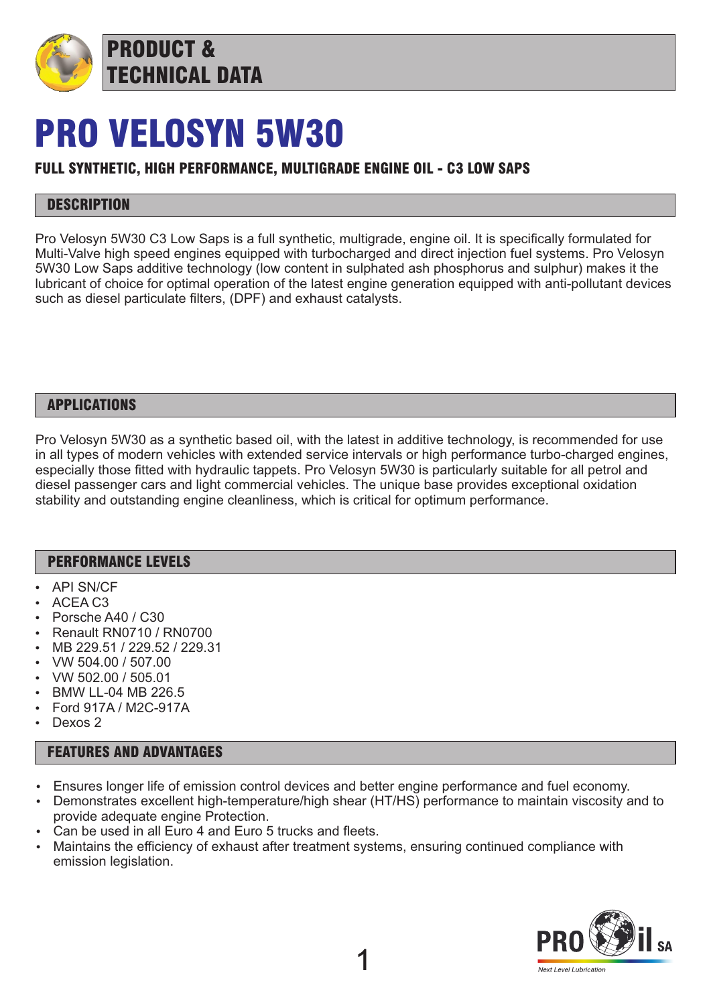

## PRO VELOSYN 5W30

## FULL SYNTHETIC, HIGH PERFORMANCE, MULTIGRADE ENGINE OIL - C3 LOW SAPS

### **DESCRIPTION**

Pro Velosyn 5W30 C3 Low Saps is a full synthetic, multigrade, engine oil. It is specifically formulated for Multi-Valve high speed engines equipped with turbocharged and direct injection fuel systems. Pro Velosyn 5W30 Low Saps additive technology (low content in sulphated ash phosphorus and sulphur) makes it the lubricant of choice for optimal operation of the latest engine generation equipped with anti-pollutant devices such as diesel particulate filters, (DPF) and exhaust catalysts.

### APPLICATIONS

Pro Velosyn 5W30 as a synthetic based oil, with the latest in additive technology, is recommended for use in all types of modern vehicles with extended service intervals or high performance turbo-charged engines, especially those fitted with hydraulic tappets. Pro Velosyn 5W30 is particularly suitable for all petrol and diesel passenger cars and light commercial vehicles. The unique base provides exceptional oxidation stability and outstanding engine cleanliness, which is critical for optimum performance.

### PERFORMANCE LEVELS

- API SN/CF
- ACEA C<sub>3</sub>
- Porsche A40 / C30
- **Renault RN0710 / RN0700**
- MB 229.51 / 229.52 / 229.31
- Ÿ VW 504.00 / 507.00
- Ÿ VW 502.00 / 505.01
- **BMW LL-04 MB 226.5**
- Ford 917A / M2C-917A
- Dexos 2

### FEATURES AND ADVANTAGES

- Ensures longer life of emission control devices and better engine performance and fuel economy.
- Demonstrates excellent high-temperature/high shear (HT/HS) performance to maintain viscosity and to provide adequate engine Protection.

1

- Can be used in all Euro 4 and Euro 5 trucks and fleets.
- Maintains the efficiency of exhaust after treatment systems, ensuring continued compliance with emission legislation.